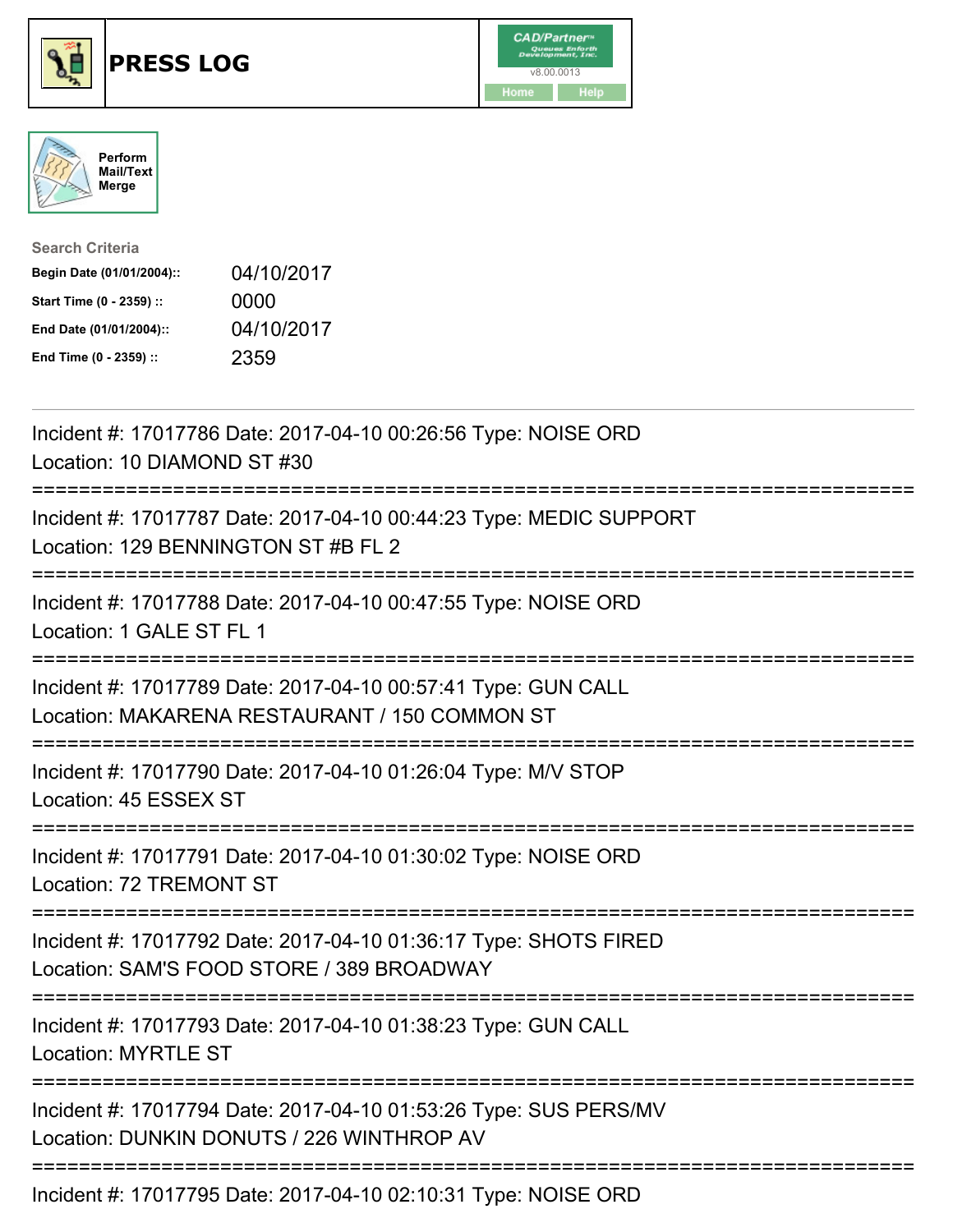

## **PRESS LOG** v8.00.0013





| <b>Search Criteria</b>    |            |
|---------------------------|------------|
| Begin Date (01/01/2004):: | 04/10/2017 |
| Start Time (0 - 2359) ::  | 0000       |
| End Date (01/01/2004)::   | 04/10/2017 |
| End Time (0 - 2359) ::    | 2359       |

Incident #: 17017786 Date: 2017-04-10 00:26:56 Type: NOISE ORD Location: 10 DIAMOND ST #30 =========================================================================== Incident #: 17017787 Date: 2017-04-10 00:44:23 Type: MEDIC SUPPORT Location: 129 BENNINGTON ST #B FL 2 =========================================================================== Incident #: 17017788 Date: 2017-04-10 00:47:55 Type: NOISE ORD Location: 1 GALE ST FL 1 =========================================================================== Incident #: 17017789 Date: 2017-04-10 00:57:41 Type: GUN CALL Location: MAKARENA RESTAURANT / 150 COMMON ST =========================================================================== Incident #: 17017790 Date: 2017-04-10 01:26:04 Type: M/V STOP Location: 45 ESSEX ST =========================================================================== Incident #: 17017791 Date: 2017-04-10 01:30:02 Type: NOISE ORD Location: 72 TREMONT ST =========================================================================== Incident #: 17017792 Date: 2017-04-10 01:36:17 Type: SHOTS FIRED Location: SAM'S FOOD STORE / 389 BROADWAY =========================================================================== Incident #: 17017793 Date: 2017-04-10 01:38:23 Type: GUN CALL Location: MYRTLE ST =========================================================================== Incident #: 17017794 Date: 2017-04-10 01:53:26 Type: SUS PERS/MV Location: DUNKIN DONUTS / 226 WINTHROP AV =========================================================================== Incident #: 17017795 Date: 2017-04-10 02:10:31 Type: NOISE ORD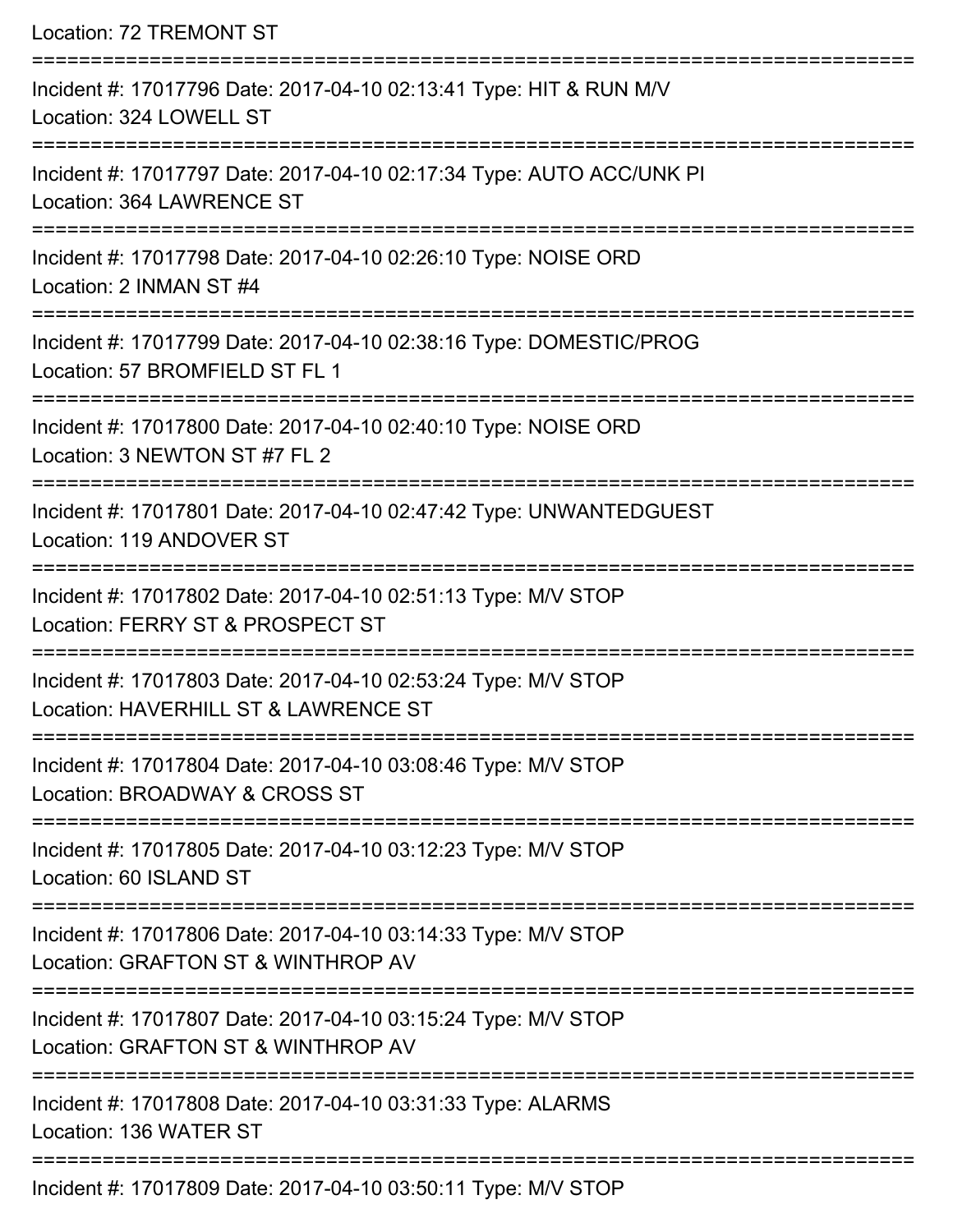| Location: 72 TREMONT ST                                                                                                             |
|-------------------------------------------------------------------------------------------------------------------------------------|
| Incident #: 17017796 Date: 2017-04-10 02:13:41 Type: HIT & RUN M/V<br>Location: 324 LOWELL ST                                       |
| Incident #: 17017797 Date: 2017-04-10 02:17:34 Type: AUTO ACC/UNK PI<br>Location: 364 LAWRENCE ST                                   |
| Incident #: 17017798 Date: 2017-04-10 02:26:10 Type: NOISE ORD<br>Location: 2 INMAN ST #4<br>:===================================== |
| Incident #: 17017799 Date: 2017-04-10 02:38:16 Type: DOMESTIC/PROG<br>Location: 57 BROMFIELD ST FL 1                                |
| Incident #: 17017800 Date: 2017-04-10 02:40:10 Type: NOISE ORD<br>Location: 3 NEWTON ST #7 FL 2                                     |
| Incident #: 17017801 Date: 2017-04-10 02:47:42 Type: UNWANTEDGUEST<br>Location: 119 ANDOVER ST                                      |
| Incident #: 17017802 Date: 2017-04-10 02:51:13 Type: M/V STOP<br>Location: FERRY ST & PROSPECT ST                                   |
| Incident #: 17017803 Date: 2017-04-10 02:53:24 Type: M/V STOP<br>Location: HAVERHILL ST & LAWRENCE ST                               |
| Incident #: 17017804 Date: 2017-04-10 03:08:46 Type: M/V STOP<br>Location: BROADWAY & CROSS ST                                      |
| Incident #: 17017805 Date: 2017-04-10 03:12:23 Type: M/V STOP<br>Location: 60 ISLAND ST                                             |
| Incident #: 17017806 Date: 2017-04-10 03:14:33 Type: M/V STOP<br>Location: GRAFTON ST & WINTHROP AV                                 |
| Incident #: 17017807 Date: 2017-04-10 03:15:24 Type: M/V STOP<br>Location: GRAFTON ST & WINTHROP AV                                 |
| Incident #: 17017808 Date: 2017-04-10 03:31:33 Type: ALARMS<br>Location: 136 WATER ST                                               |
| $00.011$ , $0047.04.40.00.50.44.7$ is the MALOTOD                                                                                   |

Incident #: 17017809 Date: 2017-04-10 03:50:11 Type: M/V STOP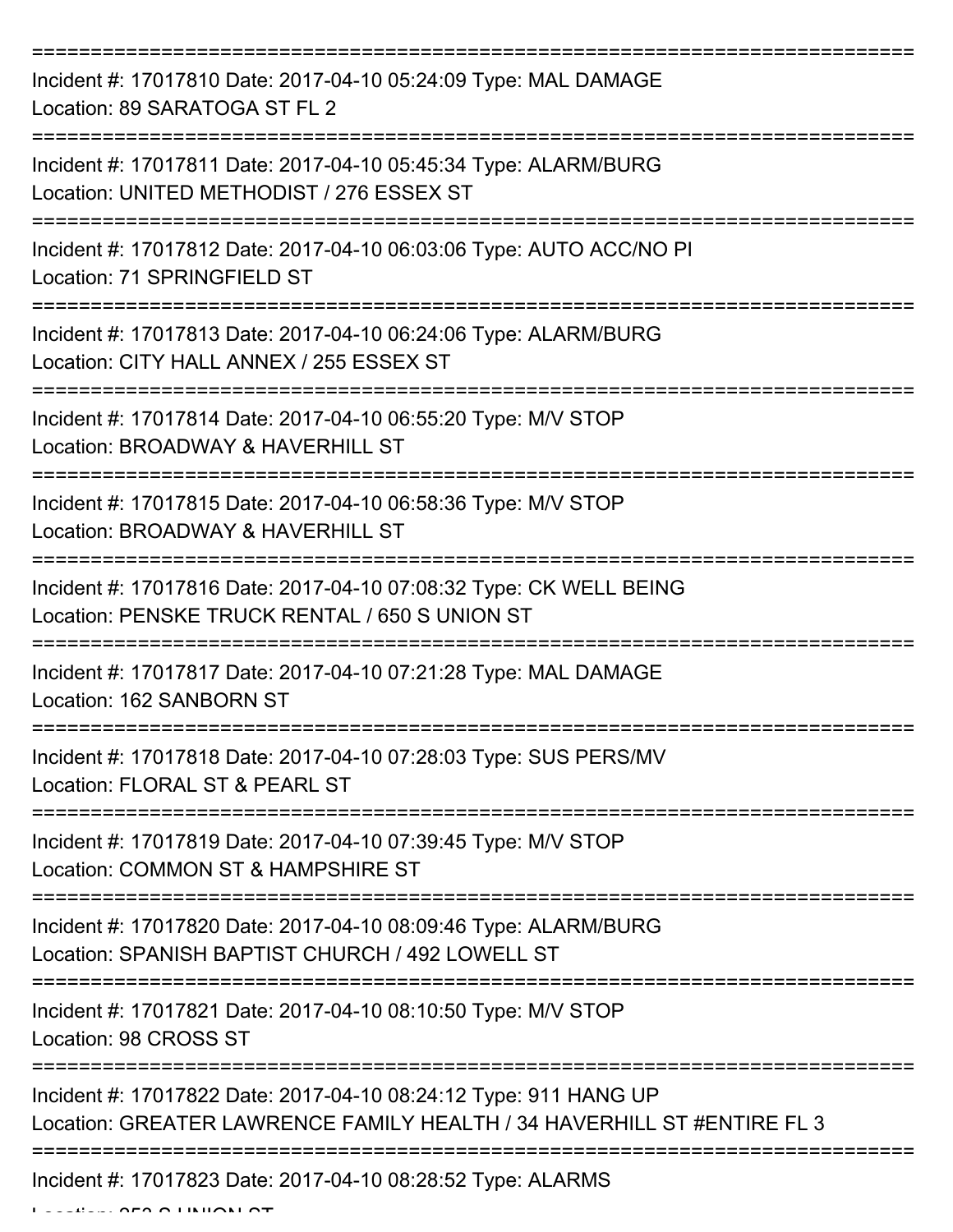| Incident #: 17017810 Date: 2017-04-10 05:24:09 Type: MAL DAMAGE<br>Location: 89 SARATOGA ST FL 2                                            |
|---------------------------------------------------------------------------------------------------------------------------------------------|
| Incident #: 17017811 Date: 2017-04-10 05:45:34 Type: ALARM/BURG<br>Location: UNITED METHODIST / 276 ESSEX ST                                |
| Incident #: 17017812 Date: 2017-04-10 06:03:06 Type: AUTO ACC/NO PI<br>Location: 71 SPRINGFIELD ST                                          |
| Incident #: 17017813 Date: 2017-04-10 06:24:06 Type: ALARM/BURG<br>Location: CITY HALL ANNEX / 255 ESSEX ST                                 |
| Incident #: 17017814 Date: 2017-04-10 06:55:20 Type: M/V STOP<br>Location: BROADWAY & HAVERHILL ST                                          |
| Incident #: 17017815 Date: 2017-04-10 06:58:36 Type: M/V STOP<br>Location: BROADWAY & HAVERHILL ST                                          |
| Incident #: 17017816 Date: 2017-04-10 07:08:32 Type: CK WELL BEING<br>Location: PENSKE TRUCK RENTAL / 650 S UNION ST                        |
| Incident #: 17017817 Date: 2017-04-10 07:21:28 Type: MAL DAMAGE<br>Location: 162 SANBORN ST                                                 |
| Incident #: 17017818 Date: 2017-04-10 07:28:03 Type: SUS PERS/MV<br>Location: FLORAL ST & PEARL ST                                          |
| Incident #: 17017819 Date: 2017-04-10 07:39:45 Type: M/V STOP<br>Location: COMMON ST & HAMPSHIRE ST                                         |
| Incident #: 17017820 Date: 2017-04-10 08:09:46 Type: ALARM/BURG<br>Location: SPANISH BAPTIST CHURCH / 492 LOWELL ST                         |
| Incident #: 17017821 Date: 2017-04-10 08:10:50 Type: M/V STOP<br>Location: 98 CROSS ST                                                      |
| Incident #: 17017822 Date: 2017-04-10 08:24:12 Type: 911 HANG UP<br>Location: GREATER LAWRENCE FAMILY HEALTH / 34 HAVERHILL ST #ENTIRE FL 3 |
| Incident #: 17017823 Date: 2017-04-10 08:28:52 Type: ALARMS                                                                                 |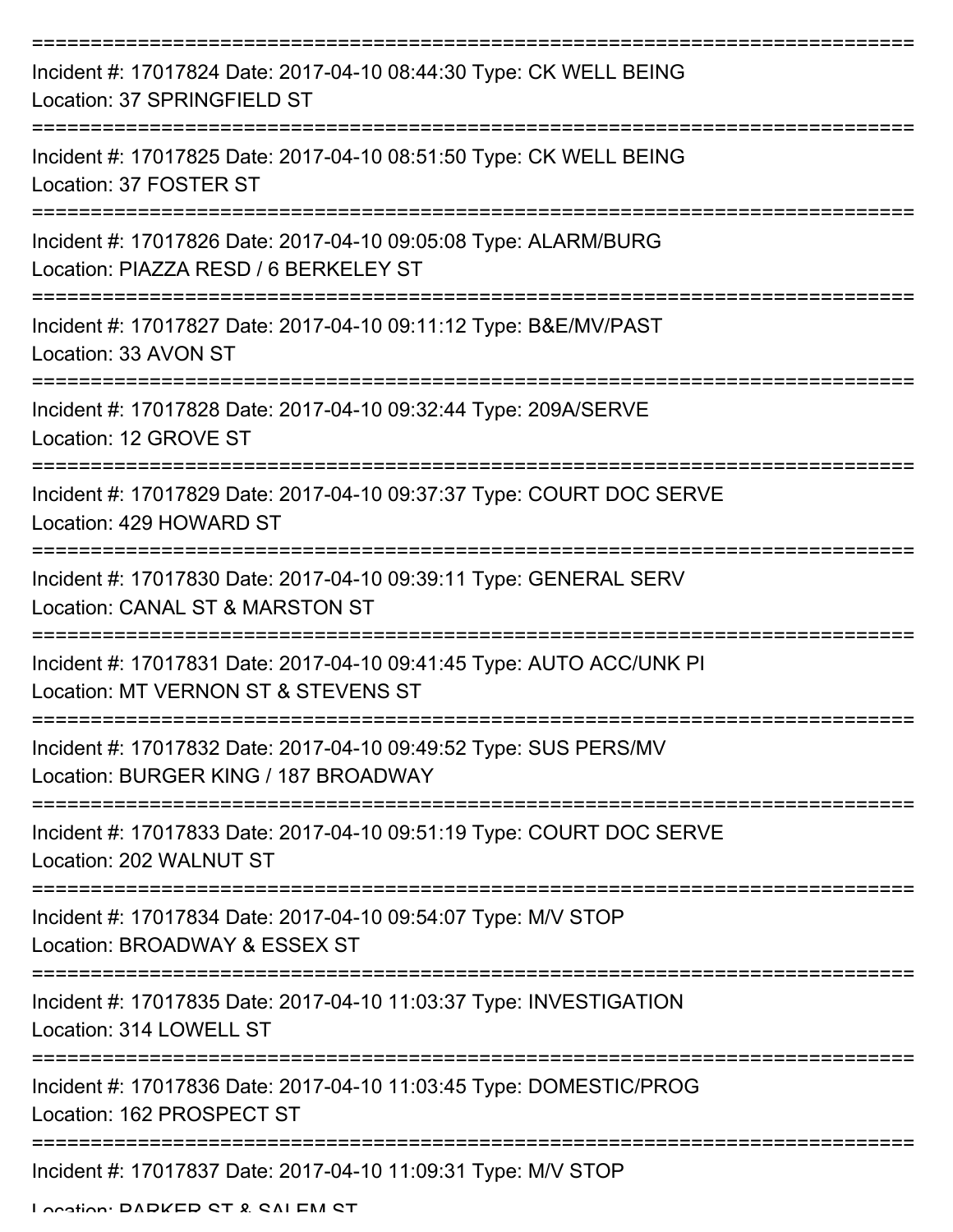| Incident #: 17017824 Date: 2017-04-10 08:44:30 Type: CK WELL BEING<br>Location: 37 SPRINGFIELD ST           |
|-------------------------------------------------------------------------------------------------------------|
| Incident #: 17017825 Date: 2017-04-10 08:51:50 Type: CK WELL BEING<br>Location: 37 FOSTER ST                |
| Incident #: 17017826 Date: 2017-04-10 09:05:08 Type: ALARM/BURG<br>Location: PIAZZA RESD / 6 BERKELEY ST    |
| Incident #: 17017827 Date: 2017-04-10 09:11:12 Type: B&E/MV/PAST<br>Location: 33 AVON ST                    |
| Incident #: 17017828 Date: 2017-04-10 09:32:44 Type: 209A/SERVE<br>Location: 12 GROVE ST                    |
| Incident #: 17017829 Date: 2017-04-10 09:37:37 Type: COURT DOC SERVE<br>Location: 429 HOWARD ST             |
| Incident #: 17017830 Date: 2017-04-10 09:39:11 Type: GENERAL SERV<br>Location: CANAL ST & MARSTON ST        |
| Incident #: 17017831 Date: 2017-04-10 09:41:45 Type: AUTO ACC/UNK PI<br>Location: MT VERNON ST & STEVENS ST |
| Incident #: 17017832 Date: 2017-04-10 09:49:52 Type: SUS PERS/MV<br>Location: BURGER KING / 187 BROADWAY    |
| Incident #: 17017833 Date: 2017-04-10 09:51:19 Type: COURT DOC SERVE<br>Location: 202 WALNUT ST             |
| Incident #: 17017834 Date: 2017-04-10 09:54:07 Type: M/V STOP<br>Location: BROADWAY & ESSEX ST              |
| Incident #: 17017835 Date: 2017-04-10 11:03:37 Type: INVESTIGATION<br>Location: 314 LOWELL ST               |
| Incident #: 17017836 Date: 2017-04-10 11:03:45 Type: DOMESTIC/PROG<br>Location: 162 PROSPECT ST             |
| Incident #: 17017837 Date: 2017-04-10 11:09:31 Type: M/V STOP                                               |

Location: DADKED CT & CALEM CT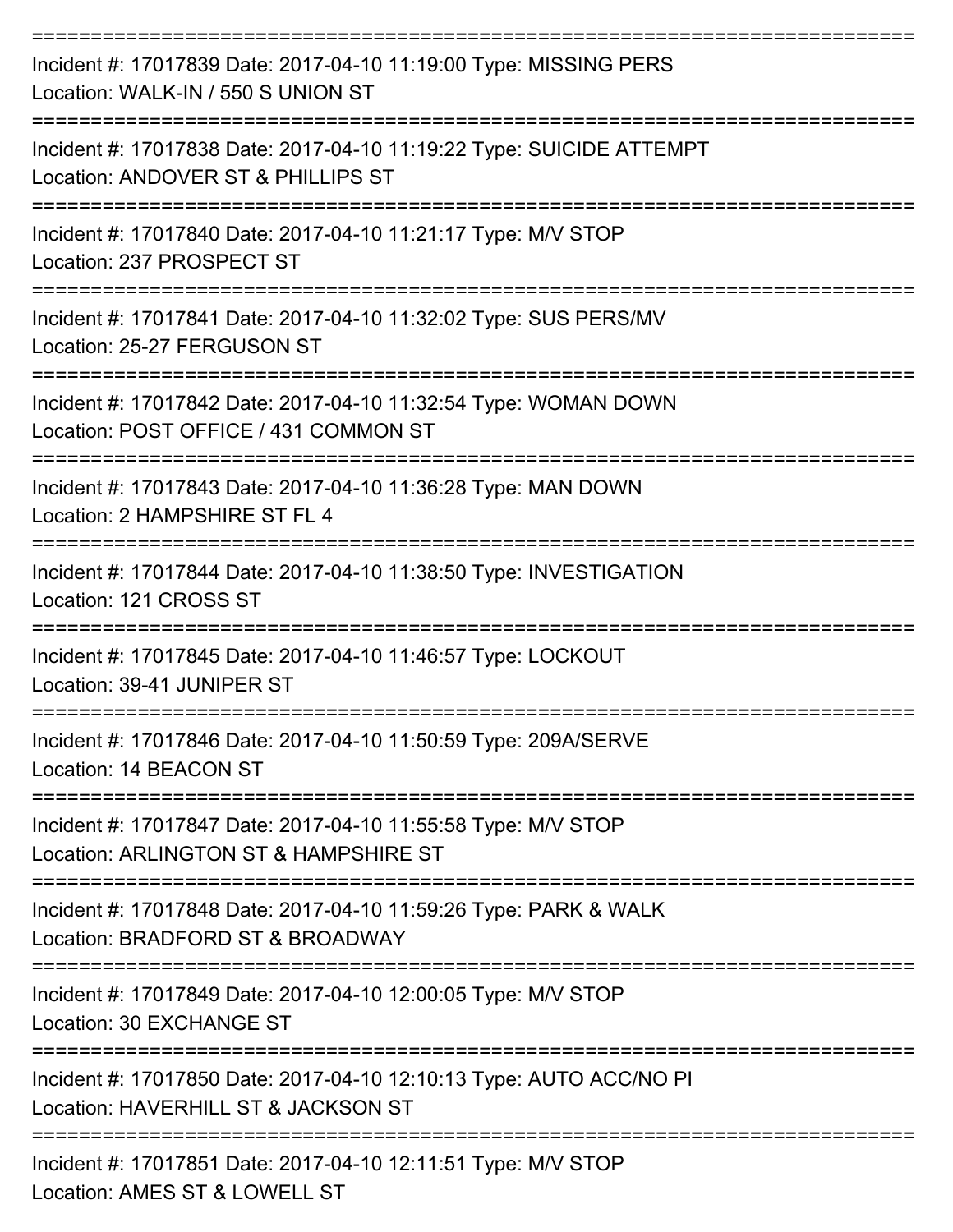| Incident #: 17017839 Date: 2017-04-10 11:19:00 Type: MISSING PERS<br>Location: WALK-IN / 550 S UNION ST<br>:========================== |
|----------------------------------------------------------------------------------------------------------------------------------------|
| Incident #: 17017838 Date: 2017-04-10 11:19:22 Type: SUICIDE ATTEMPT<br>Location: ANDOVER ST & PHILLIPS ST                             |
| Incident #: 17017840 Date: 2017-04-10 11:21:17 Type: M/V STOP<br>Location: 237 PROSPECT ST                                             |
| Incident #: 17017841 Date: 2017-04-10 11:32:02 Type: SUS PERS/MV<br>Location: 25-27 FERGUSON ST                                        |
| Incident #: 17017842 Date: 2017-04-10 11:32:54 Type: WOMAN DOWN<br>Location: POST OFFICE / 431 COMMON ST                               |
| Incident #: 17017843 Date: 2017-04-10 11:36:28 Type: MAN DOWN<br>Location: 2 HAMPSHIRE ST FL 4                                         |
| Incident #: 17017844 Date: 2017-04-10 11:38:50 Type: INVESTIGATION<br>Location: 121 CROSS ST                                           |
| Incident #: 17017845 Date: 2017-04-10 11:46:57 Type: LOCKOUT<br>Location: 39-41 JUNIPER ST                                             |
| Incident #: 17017846 Date: 2017-04-10 11:50:59 Type: 209A/SERVE<br>Location: 14 BEACON ST                                              |
| Incident #: 17017847 Date: 2017-04-10 11:55:58 Type: M/V STOP<br>Location: ARLINGTON ST & HAMPSHIRE ST                                 |
| Incident #: 17017848 Date: 2017-04-10 11:59:26 Type: PARK & WALK<br>Location: BRADFORD ST & BROADWAY                                   |
| Incident #: 17017849 Date: 2017-04-10 12:00:05 Type: M/V STOP<br>Location: 30 EXCHANGE ST                                              |
| Incident #: 17017850 Date: 2017-04-10 12:10:13 Type: AUTO ACC/NO PI<br>Location: HAVERHILL ST & JACKSON ST                             |
| Incident #: 17017851 Date: 2017-04-10 12:11:51 Type: M/V STOP<br>Location: AMES ST & LOWELL ST                                         |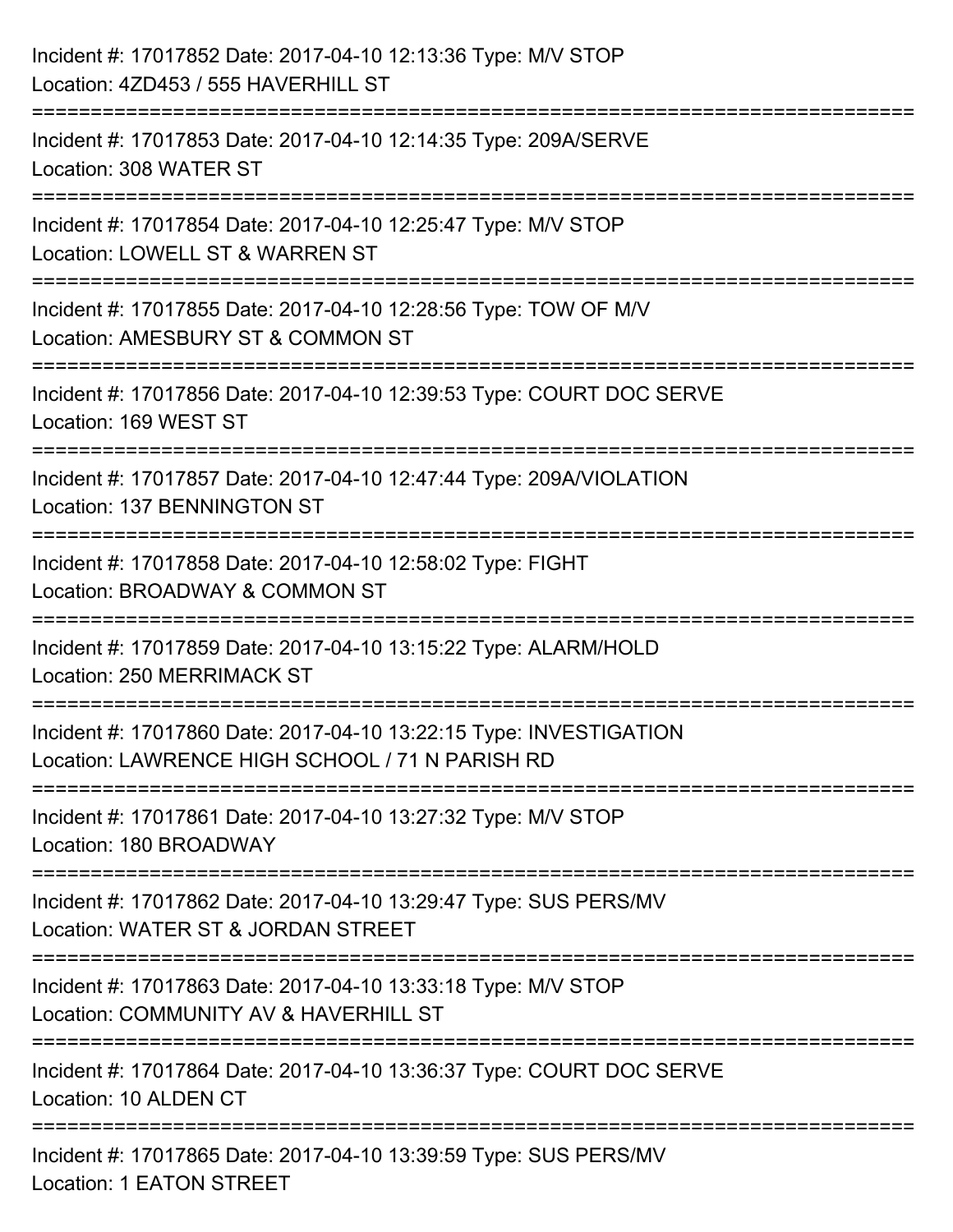| Incident #: 17017852 Date: 2017-04-10 12:13:36 Type: M/V STOP<br>Location: 4ZD453 / 555 HAVERHILL ST                                    |
|-----------------------------------------------------------------------------------------------------------------------------------------|
| :======================<br>Incident #: 17017853 Date: 2017-04-10 12:14:35 Type: 209A/SERVE<br>Location: 308 WATER ST                    |
| Incident #: 17017854 Date: 2017-04-10 12:25:47 Type: M/V STOP<br>Location: LOWELL ST & WARREN ST<br>=================================== |
| Incident #: 17017855 Date: 2017-04-10 12:28:56 Type: TOW OF M/V<br>Location: AMESBURY ST & COMMON ST                                    |
| Incident #: 17017856 Date: 2017-04-10 12:39:53 Type: COURT DOC SERVE<br>Location: 169 WEST ST<br>=============================          |
| Incident #: 17017857 Date: 2017-04-10 12:47:44 Type: 209A/VIOLATION<br>Location: 137 BENNINGTON ST                                      |
| Incident #: 17017858 Date: 2017-04-10 12:58:02 Type: FIGHT<br>Location: BROADWAY & COMMON ST                                            |
| Incident #: 17017859 Date: 2017-04-10 13:15:22 Type: ALARM/HOLD<br><b>Location: 250 MERRIMACK ST</b>                                    |
| Incident #: 17017860 Date: 2017-04-10 13:22:15 Type: INVESTIGATION<br>Location: LAWRENCE HIGH SCHOOL / 71 N PARISH RD                   |
| Incident #: 17017861 Date: 2017-04-10 13:27:32 Type: M/V STOP<br>Location: 180 BROADWAY                                                 |
| Incident #: 17017862 Date: 2017-04-10 13:29:47 Type: SUS PERS/MV<br>Location: WATER ST & JORDAN STREET                                  |
| Incident #: 17017863 Date: 2017-04-10 13:33:18 Type: M/V STOP<br>Location: COMMUNITY AV & HAVERHILL ST                                  |
| Incident #: 17017864 Date: 2017-04-10 13:36:37 Type: COURT DOC SERVE<br>Location: 10 ALDEN CT                                           |
| Incident #: 17017865 Date: 2017-04-10 13:39:59 Type: SUS PERS/MV<br><b>Location: 1 EATON STREET</b>                                     |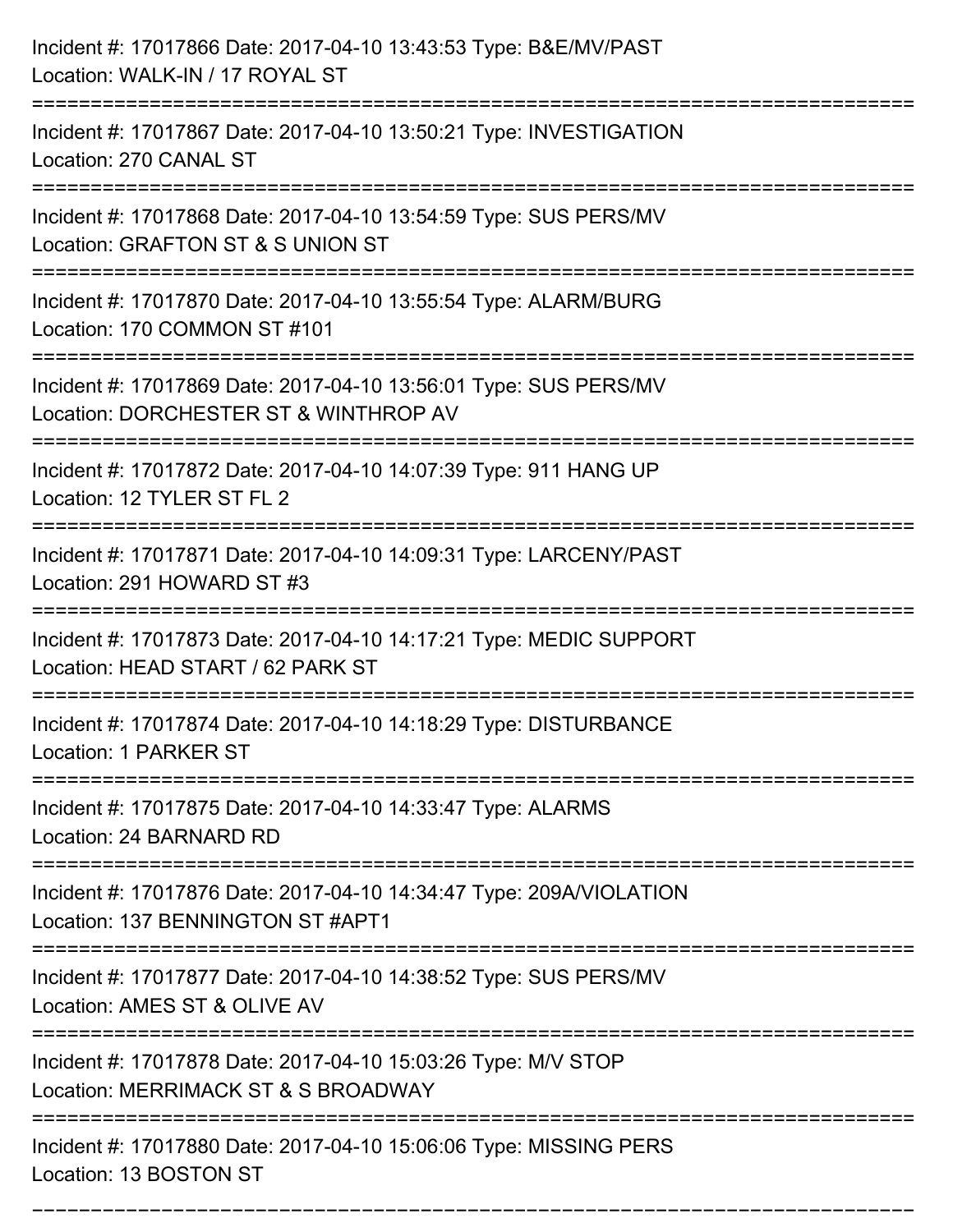| Incident #: 17017866 Date: 2017-04-10 13:43:53 Type: B&E/MV/PAST<br>Location: WALK-IN / 17 ROYAL ST                           |
|-------------------------------------------------------------------------------------------------------------------------------|
| Incident #: 17017867 Date: 2017-04-10 13:50:21 Type: INVESTIGATION<br>Location: 270 CANAL ST                                  |
| Incident #: 17017868 Date: 2017-04-10 13:54:59 Type: SUS PERS/MV<br>Location: GRAFTON ST & S UNION ST                         |
| Incident #: 17017870 Date: 2017-04-10 13:55:54 Type: ALARM/BURG<br>Location: 170 COMMON ST #101                               |
| Incident #: 17017869 Date: 2017-04-10 13:56:01 Type: SUS PERS/MV<br>Location: DORCHESTER ST & WINTHROP AV<br>================ |
| Incident #: 17017872 Date: 2017-04-10 14:07:39 Type: 911 HANG UP<br>Location: 12 TYLER ST FL 2                                |
| Incident #: 17017871 Date: 2017-04-10 14:09:31 Type: LARCENY/PAST<br>Location: 291 HOWARD ST #3                               |
| Incident #: 17017873 Date: 2017-04-10 14:17:21 Type: MEDIC SUPPORT<br>Location: HEAD START / 62 PARK ST                       |
| Incident #: 17017874 Date: 2017-04-10 14:18:29 Type: DISTURBANCE<br>Location: 1 PARKER ST                                     |
| Incident #: 17017875 Date: 2017-04-10 14:33:47 Type: ALARMS<br>Location: 24 BARNARD RD                                        |
| Incident #: 17017876 Date: 2017-04-10 14:34:47 Type: 209A/VIOLATION<br>Location: 137 BENNINGTON ST #APT1                      |
| Incident #: 17017877 Date: 2017-04-10 14:38:52 Type: SUS PERS/MV<br>Location: AMES ST & OLIVE AV                              |
| Incident #: 17017878 Date: 2017-04-10 15:03:26 Type: M/V STOP<br>Location: MERRIMACK ST & S BROADWAY                          |
| Incident #: 17017880 Date: 2017-04-10 15:06:06 Type: MISSING PERS<br>Location: 13 BOSTON ST                                   |

===========================================================================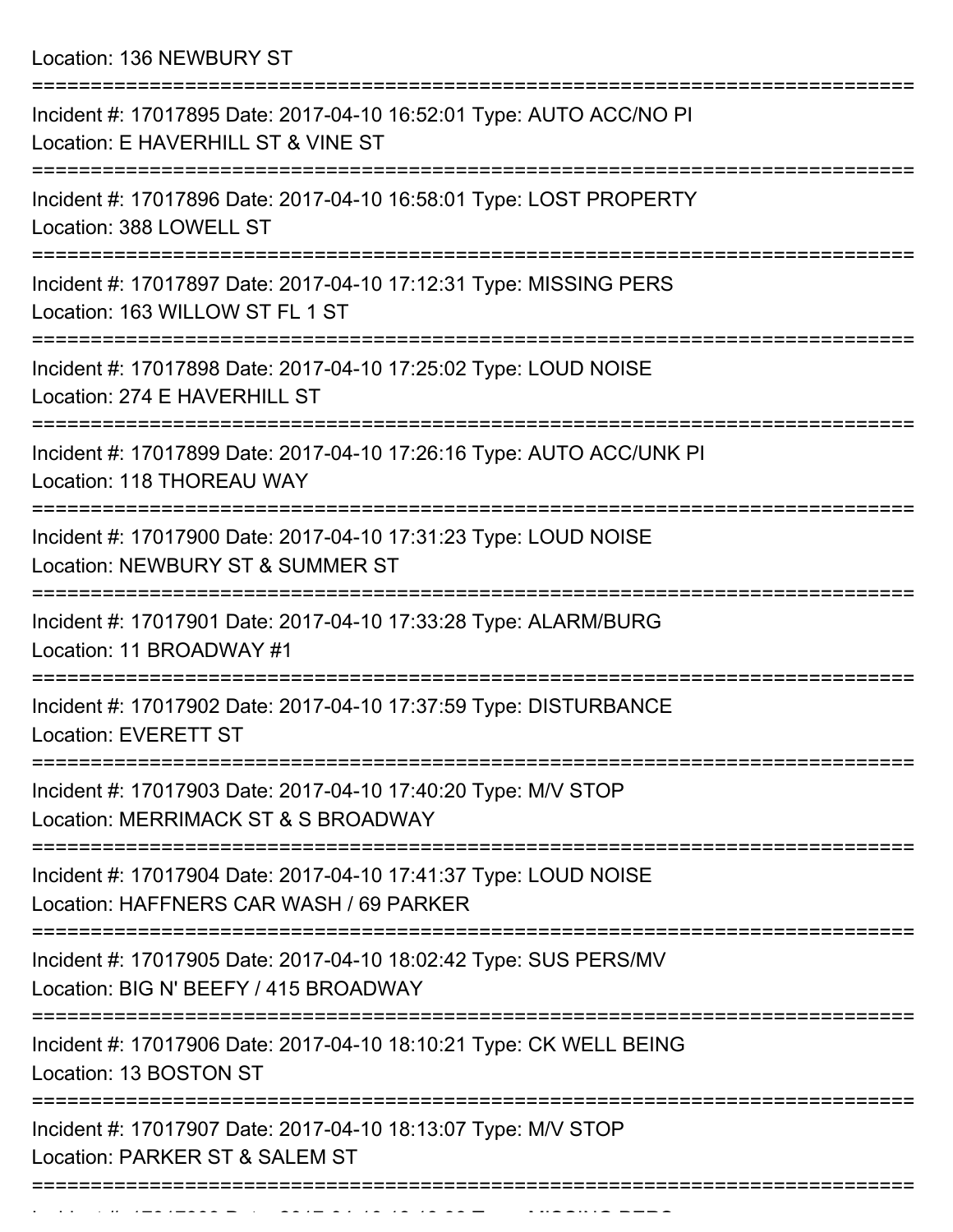Location: 136 NEWBURY ST

| Incident #: 17017895 Date: 2017-04-10 16:52:01 Type: AUTO ACC/NO PI<br>Location: E HAVERHILL ST & VINE ST  |
|------------------------------------------------------------------------------------------------------------|
| Incident #: 17017896 Date: 2017-04-10 16:58:01 Type: LOST PROPERTY<br>Location: 388 LOWELL ST              |
| Incident #: 17017897 Date: 2017-04-10 17:12:31 Type: MISSING PERS<br>Location: 163 WILLOW ST FL 1 ST       |
| Incident #: 17017898 Date: 2017-04-10 17:25:02 Type: LOUD NOISE<br>Location: 274 E HAVERHILL ST            |
| Incident #: 17017899 Date: 2017-04-10 17:26:16 Type: AUTO ACC/UNK PI<br>Location: 118 THOREAU WAY          |
| Incident #: 17017900 Date: 2017-04-10 17:31:23 Type: LOUD NOISE<br>Location: NEWBURY ST & SUMMER ST        |
| Incident #: 17017901 Date: 2017-04-10 17:33:28 Type: ALARM/BURG<br>Location: 11 BROADWAY #1                |
| Incident #: 17017902 Date: 2017-04-10 17:37:59 Type: DISTURBANCE<br><b>Location: EVERETT ST</b>            |
| Incident #: 17017903 Date: 2017-04-10 17:40:20 Type: M/V STOP<br>Location: MERRIMACK ST & S BROADWAY       |
| Incident #: 17017904 Date: 2017-04-10 17:41:37 Type: LOUD NOISE<br>Location: HAFFNERS CAR WASH / 69 PARKER |
| Incident #: 17017905 Date: 2017-04-10 18:02:42 Type: SUS PERS/MV<br>Location: BIG N' BEEFY / 415 BROADWAY  |
| Incident #: 17017906 Date: 2017-04-10 18:10:21 Type: CK WELL BEING<br>Location: 13 BOSTON ST               |
| Incident #: 17017907 Date: 2017-04-10 18:13:07 Type: M/V STOP<br>Location: PARKER ST & SALEM ST            |
|                                                                                                            |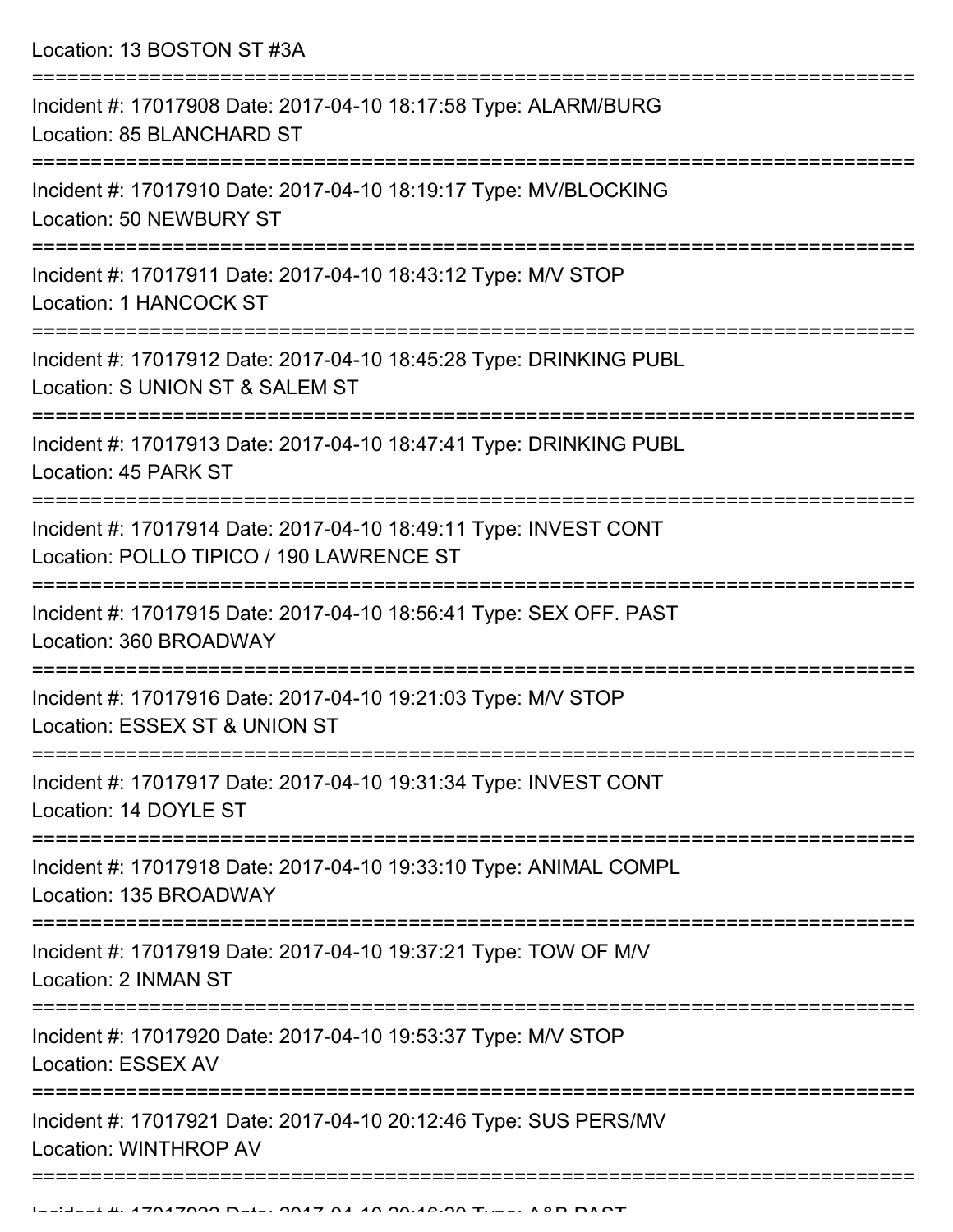Location: 13 BOSTON ST #3A =========================================================================== Incident #: 17017908 Date: 2017-04-10 18:17:58 Type: ALARM/BURG Location: 85 BLANCHARD ST =========================================================================== Incident #: 17017910 Date: 2017-04-10 18:19:17 Type: MV/BLOCKING Location: 50 NEWBURY ST =========================================================================== Incident #: 17017911 Date: 2017-04-10 18:43:12 Type: M/V STOP Location: 1 HANCOCK ST =========================================================================== Incident #: 17017912 Date: 2017-04-10 18:45:28 Type: DRINKING PUBL Location: S UNION ST & SALEM ST =========================================================================== Incident #: 17017913 Date: 2017-04-10 18:47:41 Type: DRINKING PUBL Location: 45 PARK ST =========================================================================== Incident #: 17017914 Date: 2017-04-10 18:49:11 Type: INVEST CONT Location: POLLO TIPICO / 190 LAWRENCE ST =========================================================================== Incident #: 17017915 Date: 2017-04-10 18:56:41 Type: SEX OFF. PAST Location: 360 BROADWAY =========================================================================== Incident #: 17017916 Date: 2017-04-10 19:21:03 Type: M/V STOP Location: ESSEX ST & UNION ST =========================================================================== Incident #: 17017917 Date: 2017-04-10 19:31:34 Type: INVEST CONT Location: 14 DOYLE ST =========================================================================== Incident #: 17017918 Date: 2017-04-10 19:33:10 Type: ANIMAL COMPL Location: 135 BROADWAY =========================================================================== Incident #: 17017919 Date: 2017-04-10 19:37:21 Type: TOW OF M/V Location: 2 INMAN ST =========================================================================== Incident #: 17017920 Date: 2017-04-10 19:53:37 Type: M/V STOP Location: ESSEX AV =========================================================================== Incident #: 17017921 Date: 2017-04-10 20:12:46 Type: SUS PERS/MV Location: WINTHROP AV ===========================================================================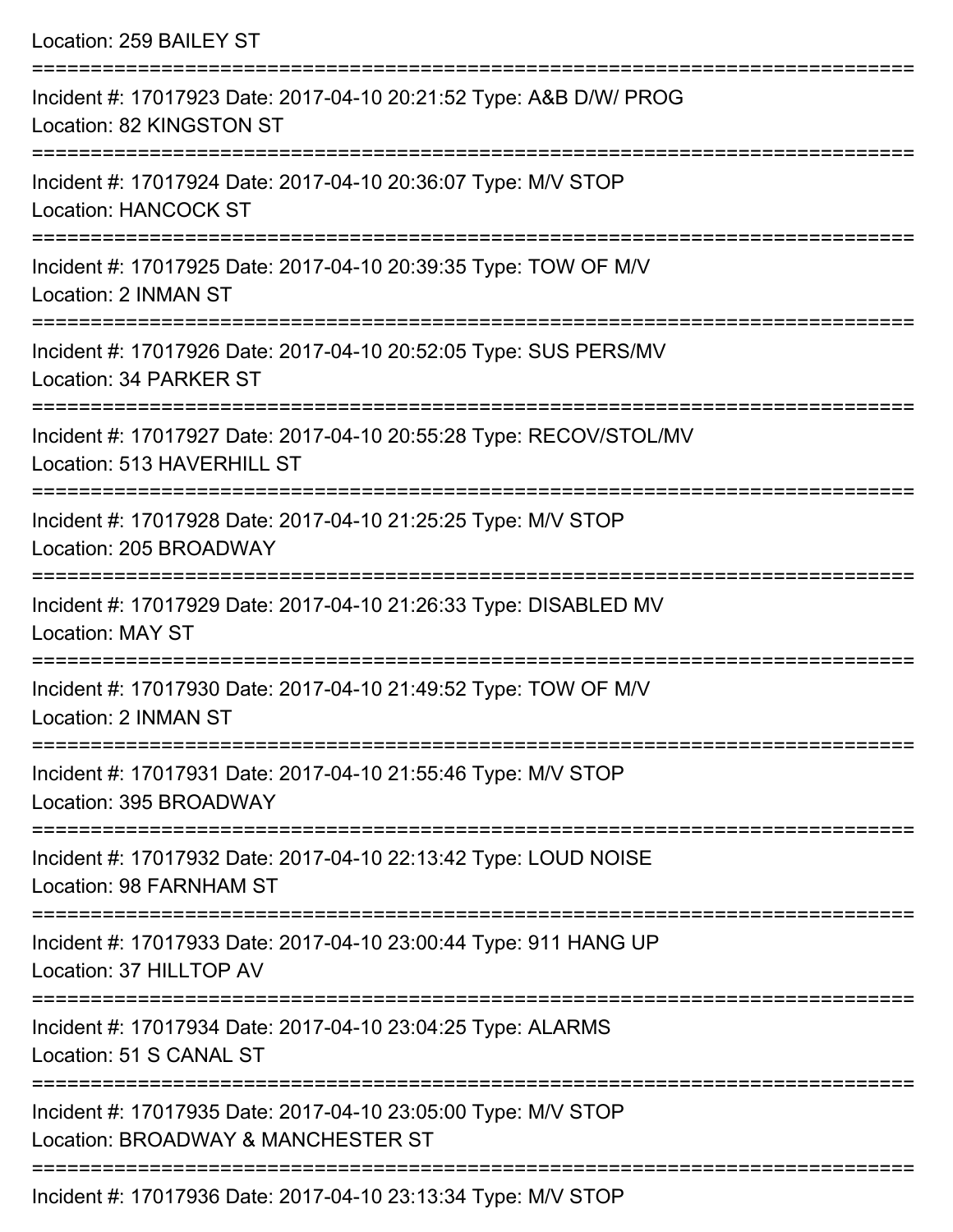Location: 259 BAILEY ST =========================================================================== Incident #: 17017923 Date: 2017-04-10 20:21:52 Type: A&B D/W/ PROG Location: 82 KINGSTON ST =========================================================================== Incident #: 17017924 Date: 2017-04-10 20:36:07 Type: M/V STOP Location: HANCOCK ST =========================================================================== Incident #: 17017925 Date: 2017-04-10 20:39:35 Type: TOW OF M/V Location: 2 INMAN ST =========================================================================== Incident #: 17017926 Date: 2017-04-10 20:52:05 Type: SUS PERS/MV Location: 34 PARKER ST =========================================================================== Incident #: 17017927 Date: 2017-04-10 20:55:28 Type: RECOV/STOL/MV Location: 513 HAVERHILL ST =========================================================================== Incident #: 17017928 Date: 2017-04-10 21:25:25 Type: M/V STOP Location: 205 BROADWAY =========================================================================== Incident #: 17017929 Date: 2017-04-10 21:26:33 Type: DISABLED MV Location: MAY ST =========================================================================== Incident #: 17017930 Date: 2017-04-10 21:49:52 Type: TOW OF M/V Location: 2 INMAN ST =========================================================================== Incident #: 17017931 Date: 2017-04-10 21:55:46 Type: M/V STOP Location: 395 BROADWAY =========================================================================== Incident #: 17017932 Date: 2017-04-10 22:13:42 Type: LOUD NOISE Location: 98 FARNHAM ST =========================================================================== Incident #: 17017933 Date: 2017-04-10 23:00:44 Type: 911 HANG UP Location: 37 HILLTOP AV =========================================================================== Incident #: 17017934 Date: 2017-04-10 23:04:25 Type: ALARMS Location: 51 S CANAL ST =========================================================================== Incident #: 17017935 Date: 2017-04-10 23:05:00 Type: M/V STOP Location: BROADWAY & MANCHESTER ST ===========================================================================

Incident #: 17017936 Date: 2017-04-10 23:13:34 Type: M/V STOP